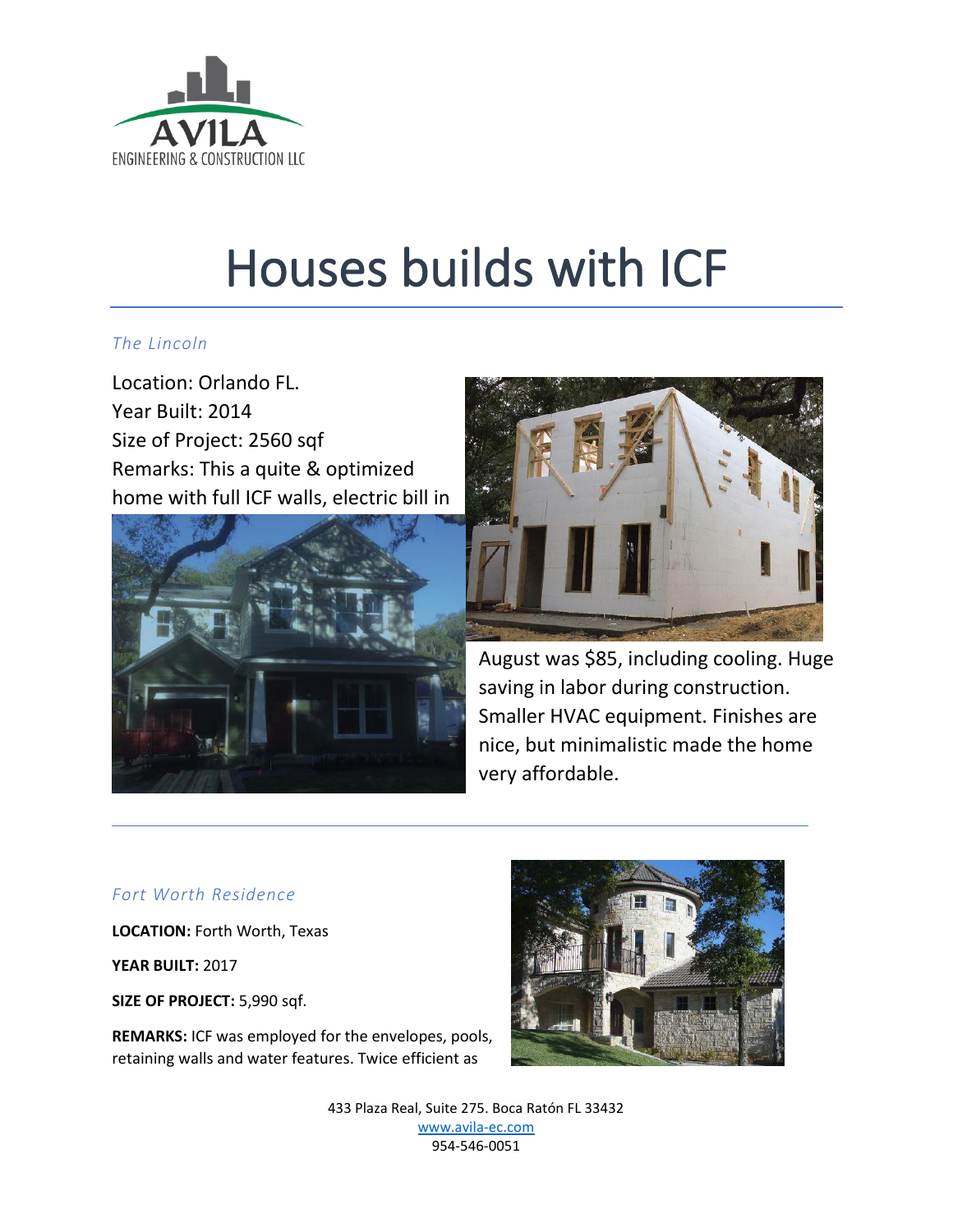

## Houses builds with ICF

## *The Lincoln*

Location: Orlando FL. Year Built: 2014 Size of Project: 2560 sqf Remarks: This a quite & optimized home with full ICF walls, electric bill in





August was \$85, including cooling. Huge saving in labor during construction. Smaller HVAC equipment. Finishes are nice, but minimalistic made the home very affordable.

## *Fort Worth Residence*

**LOCATION:** Forth Worth, Texas

**YEAR BUILT:** 2017

**SIZE OF PROJECT:** 5,990 sqf.

**REMARKS:** ICF was employed for the envelopes, pools, retaining walls and water features. Twice efficient as



433 Plaza Real, Suite 275. Boca Ratón FL 33432 [www.avila-ec.com](http://www.avila-ec.com/) 954-546-0051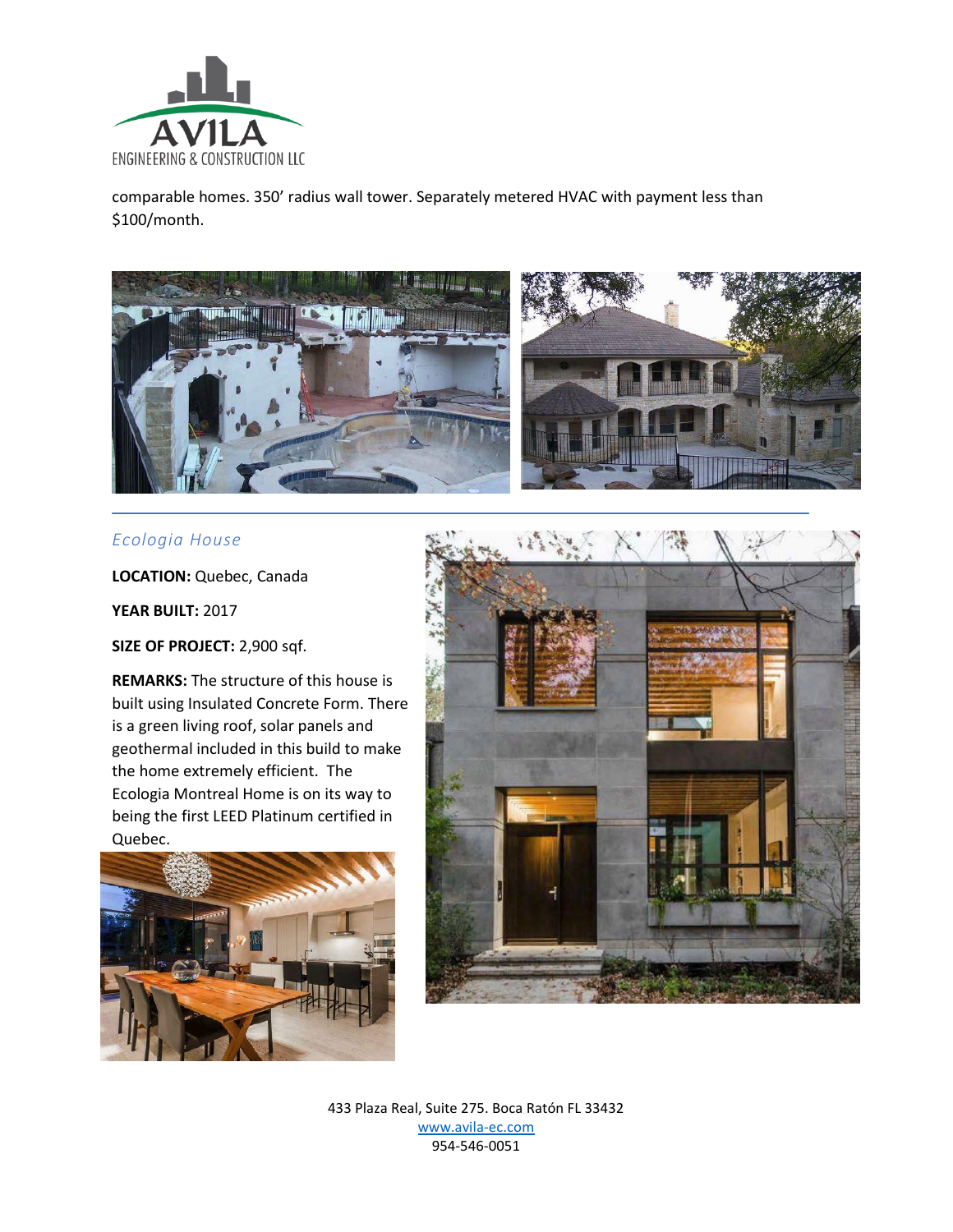

comparable homes. 350' radius wall tower. Separately metered HVAC with payment less than \$100/month.



## *Ecologia House*

**LOCATION:** Quebec, Canada

**YEAR BUILT:** 2017

**SIZE OF PROJECT:** 2,900 sqf.

**REMARKS:** The structure of this house is built using Insulated Concrete Form. There is a green living roof, solar panels and geothermal included in this build to make the home extremely efficient. The Ecologia Montreal Home is on its way to being the first LEED Platinum certified in Quebec.





433 Plaza Real, Suite 275. Boca Ratón FL 33432 [www.avila-ec.com](http://www.avila-ec.com/) 954-546-0051